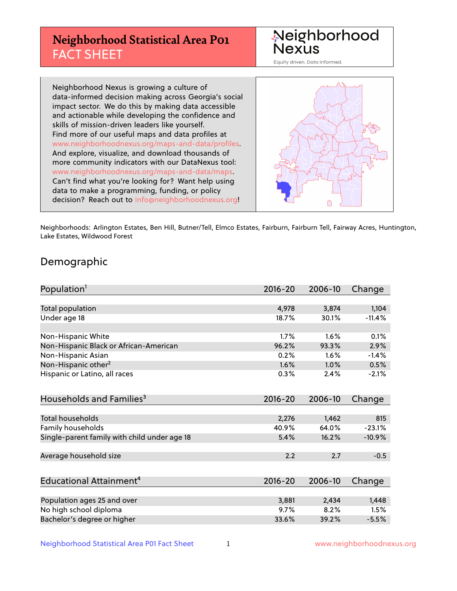## **Neighborhood Statistical Area P01** FACT SHEET



Equity driven. Data informed.

Neighborhood Nexus is growing a culture of data-informed decision making across Georgia's social impact sector. We do this by making data accessible and actionable while developing the confidence and skills of mission-driven leaders like yourself. Find more of our useful maps and data profiles at www.neighborhoodnexus.org/maps-and-data/profiles. And explore, visualize, and download thousands of more community indicators with our DataNexus tool: www.neighborhoodnexus.org/maps-and-data/maps. Can't find what you're looking for? Want help using data to make a programming, funding, or policy decision? Reach out to [info@neighborhoodnexus.org!](mailto:info@neighborhoodnexus.org)



Neighborhoods: Arlington Estates, Ben Hill, Butner/Tell, Elmco Estates, Fairburn, Fairburn Tell, Fairway Acres, Huntington, Lake Estates, Wildwood Forest

### Demographic

| Population <sup>1</sup>                      | $2016 - 20$ | 2006-10 | Change   |
|----------------------------------------------|-------------|---------|----------|
|                                              |             |         |          |
| <b>Total population</b>                      | 4,978       | 3,874   | 1,104    |
| Under age 18                                 | 18.7%       | 30.1%   | $-11.4%$ |
| Non-Hispanic White                           | 1.7%        | 1.6%    | 0.1%     |
| Non-Hispanic Black or African-American       | 96.2%       | 93.3%   | 2.9%     |
| Non-Hispanic Asian                           | 0.2%        | 1.6%    | $-1.4%$  |
| Non-Hispanic other <sup>2</sup>              | 1.6%        | 1.0%    | 0.5%     |
| Hispanic or Latino, all races                | 0.3%        | 2.4%    | $-2.1%$  |
| Households and Families <sup>3</sup>         | $2016 - 20$ | 2006-10 | Change   |
|                                              |             |         |          |
| <b>Total households</b>                      | 2,276       | 1,462   | 815      |
| Family households                            | 40.9%       | 64.0%   | $-23.1%$ |
| Single-parent family with child under age 18 | 5.4%        | 16.2%   | $-10.9%$ |
| Average household size                       | 2.2         | 2.7     | $-0.5$   |
| Educational Attainment <sup>4</sup>          | $2016 - 20$ | 2006-10 | Change   |
|                                              |             |         |          |
| Population ages 25 and over                  | 3,881       | 2,434   | 1,448    |
| No high school diploma                       | 9.7%        | 8.2%    | 1.5%     |
| Bachelor's degree or higher                  | 33.6%       | 39.2%   | $-5.5%$  |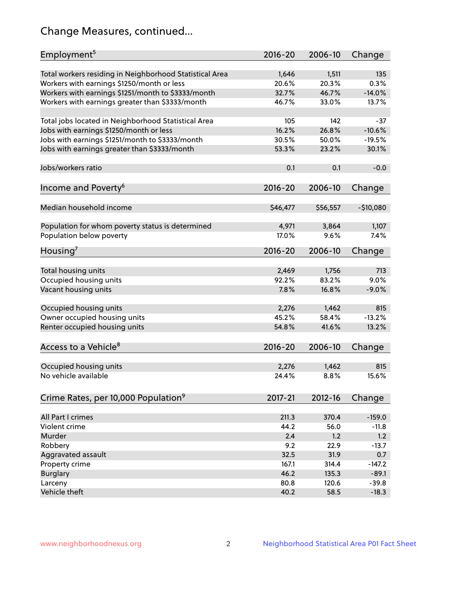## Change Measures, continued...

| Employment <sup>5</sup>                                 | $2016 - 20$ | 2006-10  | Change     |
|---------------------------------------------------------|-------------|----------|------------|
|                                                         |             |          |            |
| Total workers residing in Neighborhood Statistical Area | 1,646       | 1,511    | 135        |
| Workers with earnings \$1250/month or less              | 20.6%       | 20.3%    | 0.3%       |
| Workers with earnings \$1251/month to \$3333/month      | 32.7%       | 46.7%    | $-14.0%$   |
| Workers with earnings greater than \$3333/month         | 46.7%       | 33.0%    | 13.7%      |
| Total jobs located in Neighborhood Statistical Area     | 105         | 142      | $-37$      |
| Jobs with earnings \$1250/month or less                 | 16.2%       | 26.8%    | $-10.6%$   |
| Jobs with earnings \$1251/month to \$3333/month         | 30.5%       | 50.0%    | $-19.5%$   |
| Jobs with earnings greater than \$3333/month            | 53.3%       | 23.2%    | 30.1%      |
|                                                         |             |          |            |
| Jobs/workers ratio                                      | 0.1         | 0.1      | $-0.0$     |
|                                                         |             |          |            |
| Income and Poverty <sup>6</sup>                         | 2016-20     | 2006-10  | Change     |
| Median household income                                 | \$46,477    | \$56,557 | $-$10,080$ |
|                                                         |             |          |            |
| Population for whom poverty status is determined        | 4,971       | 3,864    | 1,107      |
| Population below poverty                                | 17.0%       | 9.6%     | 7.4%       |
|                                                         |             |          |            |
| Housing <sup>7</sup>                                    | $2016 - 20$ | 2006-10  | Change     |
|                                                         |             |          |            |
| Total housing units                                     | 2,469       | 1,756    | 713        |
| Occupied housing units                                  | 92.2%       | 83.2%    | 9.0%       |
| Vacant housing units                                    | 7.8%        | 16.8%    | $-9.0%$    |
| Occupied housing units                                  | 2,276       | 1,462    | 815        |
| Owner occupied housing units                            | 45.2%       | 58.4%    | $-13.2%$   |
| Renter occupied housing units                           | 54.8%       | 41.6%    | 13.2%      |
|                                                         |             |          |            |
| Access to a Vehicle <sup>8</sup>                        | $2016 - 20$ | 2006-10  | Change     |
|                                                         |             |          |            |
| Occupied housing units                                  | 2,276       | 1,462    | 815        |
| No vehicle available                                    | 24.4%       | 8.8%     | 15.6%      |
|                                                         |             |          |            |
| Crime Rates, per 10,000 Population <sup>9</sup>         | 2017-21     | 2012-16  | Change     |
|                                                         |             |          |            |
| All Part I crimes                                       | 211.3       | 370.4    | $-159.0$   |
| Violent crime                                           | 44.2        | 56.0     | $-11.8$    |
| Murder                                                  | 2.4         | 1.2      | 1.2        |
| Robbery                                                 | 9.2         | 22.9     | $-13.7$    |
| Aggravated assault                                      | 32.5        | 31.9     | 0.7        |
| Property crime                                          | 167.1       | 314.4    | $-147.2$   |
| <b>Burglary</b>                                         | 46.2        | 135.3    | $-89.1$    |
| Larceny                                                 | 80.8        | 120.6    | $-39.8$    |
| Vehicle theft                                           | 40.2        | 58.5     | $-18.3$    |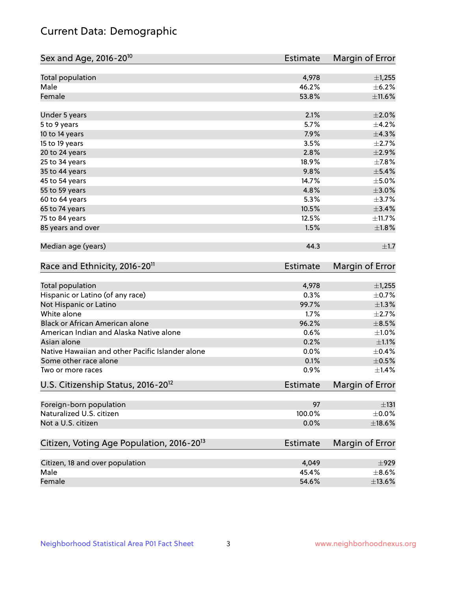## Current Data: Demographic

| Sex and Age, 2016-20 <sup>10</sup>                    | Estimate        | Margin of Error |
|-------------------------------------------------------|-----------------|-----------------|
| Total population                                      | 4,978           | $\pm$ 1,255     |
| Male                                                  | 46.2%           | $\pm$ 6.2%      |
| Female                                                | 53.8%           | ±11.6%          |
| Under 5 years                                         | 2.1%            | $\pm 2.0\%$     |
| 5 to 9 years                                          | 5.7%            | $\pm$ 4.2%      |
| 10 to 14 years                                        | 7.9%            | ±4.3%           |
| 15 to 19 years                                        | 3.5%            | $\pm 2.7\%$     |
| 20 to 24 years                                        | 2.8%            | $\pm 2.9\%$     |
| 25 to 34 years                                        | 18.9%           | $\pm$ 7.8%      |
| 35 to 44 years                                        | 9.8%            | $\pm$ 5.4%      |
| 45 to 54 years                                        | 14.7%           | $\pm$ 5.0%      |
| 55 to 59 years                                        | 4.8%            | $\pm 3.0\%$     |
| 60 to 64 years                                        | 5.3%            | $\pm$ 3.7%      |
| 65 to 74 years                                        | 10.5%           | $\pm$ 3.4%      |
| 75 to 84 years                                        | 12.5%           | ±11.7%          |
| 85 years and over                                     | 1.5%            | ±1.8%           |
| Median age (years)                                    | 44.3            | $\pm 1.7$       |
| Race and Ethnicity, 2016-20 <sup>11</sup>             | <b>Estimate</b> | Margin of Error |
| Total population                                      | 4,978           | $\pm$ 1,255     |
| Hispanic or Latino (of any race)                      | 0.3%            | $\pm$ 0.7%      |
| Not Hispanic or Latino                                | 99.7%           | $\pm 1.3\%$     |
| White alone                                           | 1.7%            | $\pm 2.7\%$     |
| Black or African American alone                       | 96.2%           | $\pm$ 8.5%      |
| American Indian and Alaska Native alone               | 0.6%            | $\pm 1.0\%$     |
| Asian alone                                           | 0.2%            | $\pm 1.1\%$     |
| Native Hawaiian and other Pacific Islander alone      | 0.0%            | $\pm$ 0.4%      |
| Some other race alone                                 | 0.1%            | $\pm$ 0.5%      |
| Two or more races                                     | 0.9%            | $\pm$ 1.4%      |
| U.S. Citizenship Status, 2016-20 <sup>12</sup>        | Estimate        | Margin of Error |
| Foreign-born population                               | 97              | ±131            |
| Naturalized U.S. citizen                              | 100.0%          | $\pm$ 0.0%      |
| Not a U.S. citizen                                    | 0.0%            | $\pm$ 18.6%     |
| Citizen, Voting Age Population, 2016-20 <sup>13</sup> | Estimate        | Margin of Error |
| Citizen, 18 and over population                       | 4,049           | $\pm$ 929       |
| Male                                                  | 45.4%           | $\pm$ 8.6%      |
| Female                                                | 54.6%           | $\pm$ 13.6%     |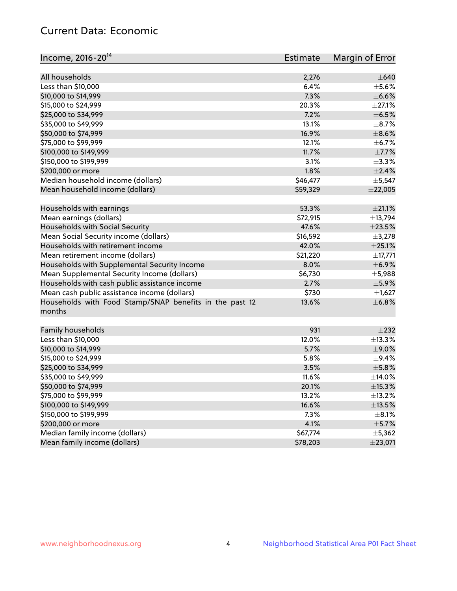## Current Data: Economic

| Income, 2016-20 <sup>14</sup>                           | Estimate | Margin of Error |
|---------------------------------------------------------|----------|-----------------|
|                                                         |          |                 |
| All households                                          | 2,276    | $\pm 640$       |
| Less than \$10,000                                      | 6.4%     | $\pm$ 5.6%      |
| \$10,000 to \$14,999                                    | 7.3%     | $\pm$ 6.6%      |
| \$15,000 to \$24,999                                    | 20.3%    | $\pm 27.1\%$    |
| \$25,000 to \$34,999                                    | 7.2%     | $\pm$ 6.5%      |
| \$35,000 to \$49,999                                    | 13.1%    | $\pm$ 8.7%      |
| \$50,000 to \$74,999                                    | 16.9%    | $\pm$ 8.6%      |
| \$75,000 to \$99,999                                    | 12.1%    | $\pm$ 6.7%      |
| \$100,000 to \$149,999                                  | 11.7%    | $\pm$ 7.7%      |
| \$150,000 to \$199,999                                  | 3.1%     | $\pm$ 3.3%      |
| \$200,000 or more                                       | 1.8%     | $\pm 2.4\%$     |
| Median household income (dollars)                       | \$46,477 | $\pm$ 5,547     |
| Mean household income (dollars)                         | \$59,329 | ±22,005         |
| Households with earnings                                | 53.3%    | $\pm 21.1\%$    |
| Mean earnings (dollars)                                 | \$72,915 | ±13,794         |
| Households with Social Security                         | 47.6%    | $\pm 23.5\%$    |
| Mean Social Security income (dollars)                   | \$16,592 | ±3,278          |
| Households with retirement income                       | 42.0%    | $\pm 25.1\%$    |
| Mean retirement income (dollars)                        | \$21,220 | ±17,771         |
| Households with Supplemental Security Income            | 8.0%     | $\pm$ 6.9%      |
| Mean Supplemental Security Income (dollars)             | \$6,730  | $\pm$ 5,988     |
| Households with cash public assistance income           | 2.7%     | $\pm$ 5.9%      |
| Mean cash public assistance income (dollars)            | \$730    | $\pm$ 1,627     |
| Households with Food Stamp/SNAP benefits in the past 12 | 13.6%    | ±6.8%           |
| months                                                  |          |                 |
| Family households                                       | 931      | $\pm 232$       |
| Less than \$10,000                                      | 12.0%    | ±13.3%          |
| \$10,000 to \$14,999                                    | 5.7%     | $\pm$ 9.0%      |
| \$15,000 to \$24,999                                    | 5.8%     | ±9.4%           |
| \$25,000 to \$34,999                                    | 3.5%     | ±5.8%           |
| \$35,000 to \$49,999                                    | 11.6%    | ±14.0%          |
|                                                         |          | $\pm$ 15.3%     |
| \$50,000 to \$74,999                                    | 20.1%    | ±13.2%          |
| \$75,000 to \$99,999<br>\$100,000 to \$149,999          | 13.2%    |                 |
|                                                         | 16.6%    | $\pm$ 13.5%     |
| \$150,000 to \$199,999                                  | 7.3%     | $\pm$ 8.1%      |
| \$200,000 or more                                       | 4.1%     | $\pm$ 5.7%      |
| Median family income (dollars)                          | \$67,774 | ±5,362          |
| Mean family income (dollars)                            | \$78,203 | ±23,071         |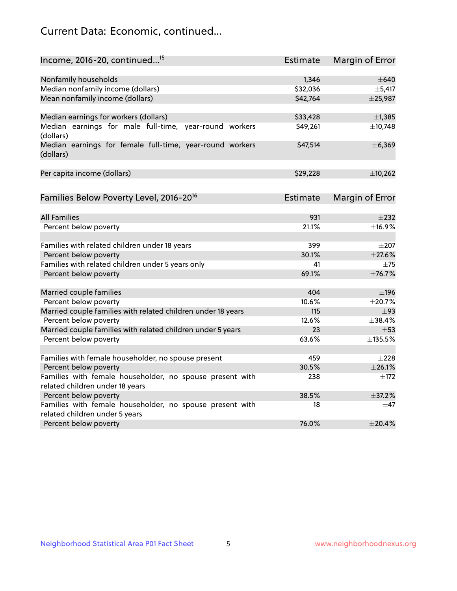## Current Data: Economic, continued...

| Income, 2016-20, continued <sup>15</sup>                                                   | <b>Estimate</b> | Margin of Error        |
|--------------------------------------------------------------------------------------------|-----------------|------------------------|
|                                                                                            |                 |                        |
| Nonfamily households                                                                       | 1,346           | $\pm 640$              |
| Median nonfamily income (dollars)                                                          | \$32,036        | ±5,417                 |
| Mean nonfamily income (dollars)                                                            | \$42,764        | ±25,987                |
| Median earnings for workers (dollars)                                                      | \$33,428        | ±1,385                 |
| Median earnings for male full-time, year-round workers<br>(dollars)                        | \$49,261        | ±10,748                |
| Median earnings for female full-time, year-round workers<br>(dollars)                      | \$47,514        | ±6,369                 |
| Per capita income (dollars)                                                                | \$29,228        | ±10,262                |
| Families Below Poverty Level, 2016-20 <sup>16</sup>                                        | <b>Estimate</b> | <b>Margin of Error</b> |
|                                                                                            |                 |                        |
| <b>All Families</b>                                                                        | 931             | $\pm 232$              |
| Percent below poverty                                                                      | 21.1%           | ±16.9%                 |
| Families with related children under 18 years                                              | 399             | $\pm 207$              |
| Percent below poverty                                                                      | 30.1%           | ±27.6%                 |
| Families with related children under 5 years only                                          | 41              | $\pm 75$               |
| Percent below poverty                                                                      | 69.1%           | ±76.7%                 |
| Married couple families                                                                    | 404             | $\pm$ 196              |
| Percent below poverty                                                                      | 10.6%           | ±20.7%                 |
| Married couple families with related children under 18 years                               | 115             | $\pm$ 93               |
| Percent below poverty                                                                      | 12.6%           | ±38.4%                 |
| Married couple families with related children under 5 years                                | 23              | $\pm$ 53               |
| Percent below poverty                                                                      | 63.6%           | ±135.5%                |
|                                                                                            |                 |                        |
| Families with female householder, no spouse present                                        | 459             | $\pm 228$              |
| Percent below poverty                                                                      | 30.5%           | ±26.1%                 |
| Families with female householder, no spouse present with                                   | 238             | $\pm$ 172              |
| related children under 18 years                                                            |                 |                        |
| Percent below poverty                                                                      | 38.5%           | ±37.2%                 |
| Families with female householder, no spouse present with<br>related children under 5 years | 18              | $\pm$ 47               |
| Percent below poverty                                                                      | 76.0%           | ±20.4%                 |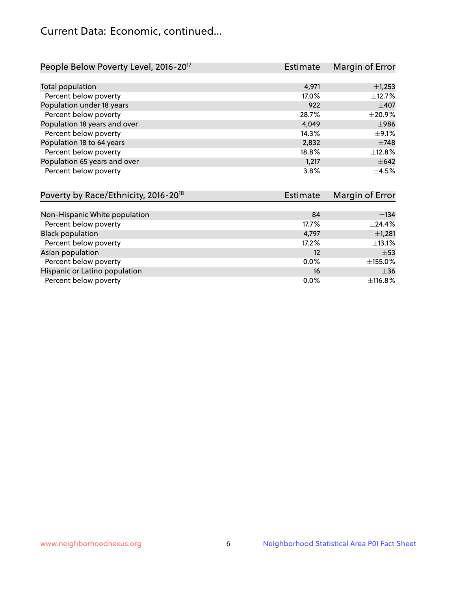## Current Data: Economic, continued...

| People Below Poverty Level, 2016-20 <sup>17</sup> | <b>Estimate</b> | Margin of Error |
|---------------------------------------------------|-----------------|-----------------|
|                                                   |                 |                 |
| Total population                                  | 4,971           | $\pm$ 1,253     |
| Percent below poverty                             | 17.0%           | ±12.7%          |
| Population under 18 years                         | 922             | $\pm 407$       |
| Percent below poverty                             | 28.7%           | ±20.9%          |
| Population 18 years and over                      | 4,049           | $\pm$ 986       |
| Percent below poverty                             | 14.3%           | $\pm$ 9.1%      |
| Population 18 to 64 years                         | 2,832           | $\pm 748$       |
| Percent below poverty                             | 18.8%           | ±12.8%          |
| Population 65 years and over                      | 1.217           | $\pm 642$       |
| Percent below poverty                             | 3.8%            | $\pm 4.5\%$     |

| Poverty by Race/Ethnicity, 2016-20 <sup>18</sup> | <b>Estimate</b> | Margin of Error |
|--------------------------------------------------|-----------------|-----------------|
|                                                  |                 |                 |
| Non-Hispanic White population                    | 84              | ±134            |
| Percent below poverty                            | 17.7%           | ±24.4%          |
| <b>Black population</b>                          | 4,797           | $\pm$ 1,281     |
| Percent below poverty                            | 17.2%           | $\pm$ 13.1%     |
| Asian population                                 | 12              | $\pm$ 53        |
| Percent below poverty                            | 0.0%            | ±155.0%         |
| Hispanic or Latino population                    | 16              | $\pm$ 36        |
| Percent below poverty                            | $0.0\%$         | ±116.8%         |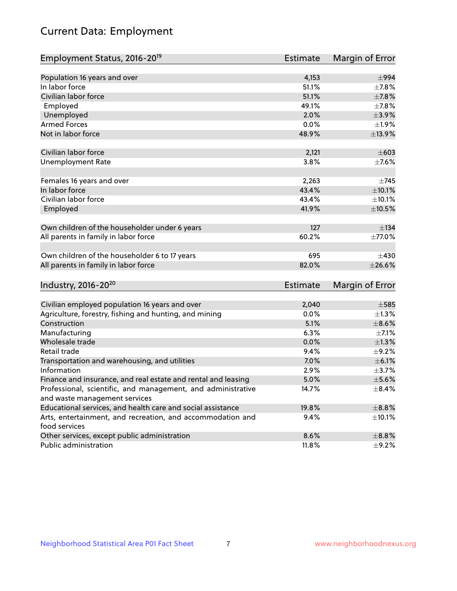# Current Data: Employment

| Employment Status, 2016-20 <sup>19</sup>                      | <b>Estimate</b> | Margin of Error |
|---------------------------------------------------------------|-----------------|-----------------|
|                                                               |                 |                 |
| Population 16 years and over                                  | 4,153           | $\pm$ 994       |
| In labor force                                                | 51.1%           | $\pm$ 7.8%      |
| Civilian labor force                                          | 51.1%           | $\pm$ 7.8%      |
| Employed                                                      | 49.1%           | $\pm$ 7.8%      |
| Unemployed                                                    | 2.0%            | $\pm$ 3.9%      |
| <b>Armed Forces</b>                                           | 0.0%            | ±1.9%           |
| Not in labor force                                            | 48.9%           | ±13.9%          |
| Civilian labor force                                          | 2,121           | $\pm 603$       |
| <b>Unemployment Rate</b>                                      | 3.8%            | $\pm$ 7.6%      |
| Females 16 years and over                                     | 2,263           | $\pm 745$       |
| In labor force                                                | 43.4%           | $\pm 10.1\%$    |
| Civilian labor force                                          | 43.4%           | $\pm 10.1\%$    |
| Employed                                                      | 41.9%           | $\pm 10.5\%$    |
|                                                               |                 |                 |
| Own children of the householder under 6 years                 | 127             | $\pm$ 134       |
| All parents in family in labor force                          | 60.2%           | $\pm 77.0\%$    |
|                                                               |                 |                 |
| Own children of the householder 6 to 17 years                 | 695             | $+430$          |
| All parents in family in labor force                          | 82.0%           | $\pm 26.6\%$    |
| Industry, 2016-20 <sup>20</sup>                               | <b>Estimate</b> | Margin of Error |
|                                                               |                 |                 |
| Civilian employed population 16 years and over                | 2,040           | $\pm$ 585       |
| Agriculture, forestry, fishing and hunting, and mining        | 0.0%            | $\pm$ 1.3%      |
| Construction                                                  | 5.1%            | $\pm$ 8.6%      |
| Manufacturing                                                 | 6.3%            | $\pm$ 7.1%      |
| Wholesale trade                                               | 0.0%            | $\pm 1.3\%$     |
| Retail trade                                                  | 9.4%            | $\pm$ 9.2%      |
| Transportation and warehousing, and utilities                 | 7.0%            | $\pm$ 6.1%      |
| Information                                                   | 2.9%            | $\pm$ 3.7%      |
| Finance and insurance, and real estate and rental and leasing | 5.0%            | $\pm$ 5.6%      |
| Professional, scientific, and management, and administrative  | 14.7%           | $\pm$ 8.4%      |
| and waste management services                                 |                 |                 |
| Educational services, and health care and social assistance   | 19.8%           | $\pm$ 8.8%      |
| Arts, entertainment, and recreation, and accommodation and    | 9.4%            | $\pm$ 10.1%     |
| food services                                                 |                 |                 |
| Other services, except public administration                  | 8.6%            | $\pm$ 8.8%      |
| Public administration                                         | 11.8%           | $\pm$ 9.2%      |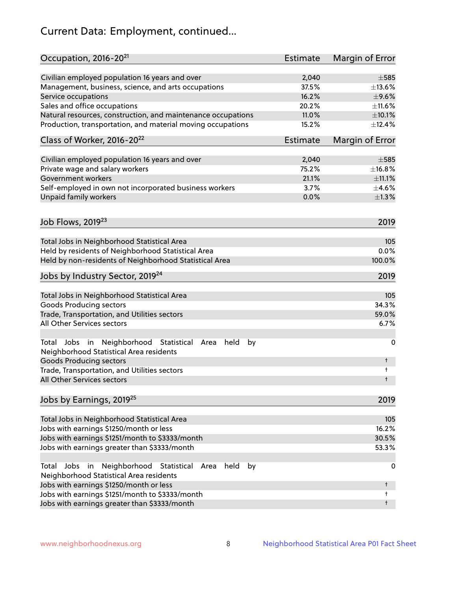# Current Data: Employment, continued...

| Occupation, 2016-20 <sup>21</sup>                                                                    | Estimate | Margin of Error |
|------------------------------------------------------------------------------------------------------|----------|-----------------|
| Civilian employed population 16 years and over                                                       | 2,040    | $\pm$ 585       |
| Management, business, science, and arts occupations                                                  | 37.5%    | ±13.6%          |
| Service occupations                                                                                  | 16.2%    | $\pm$ 9.6%      |
| Sales and office occupations                                                                         | 20.2%    | ±11.6%          |
| Natural resources, construction, and maintenance occupations                                         | 11.0%    | $\pm 10.1\%$    |
| Production, transportation, and material moving occupations                                          | 15.2%    | ±12.4%          |
| Class of Worker, 2016-20 <sup>22</sup>                                                               | Estimate | Margin of Error |
| Civilian employed population 16 years and over                                                       | 2,040    | $\pm$ 585       |
| Private wage and salary workers                                                                      | 75.2%    | ±16.8%          |
| Government workers                                                                                   | 21.1%    | ±11.1%          |
| Self-employed in own not incorporated business workers                                               | 3.7%     | $\pm$ 4.6%      |
| Unpaid family workers                                                                                | 0.0%     | $\pm 1.3\%$     |
| Job Flows, 2019 <sup>23</sup>                                                                        |          | 2019            |
|                                                                                                      |          |                 |
| Total Jobs in Neighborhood Statistical Area                                                          |          | 105             |
| Held by residents of Neighborhood Statistical Area                                                   |          | 0.0%            |
| Held by non-residents of Neighborhood Statistical Area                                               |          | 100.0%          |
| Jobs by Industry Sector, 2019 <sup>24</sup>                                                          |          | 2019            |
| Total Jobs in Neighborhood Statistical Area                                                          |          | 105             |
| <b>Goods Producing sectors</b>                                                                       |          | 34.3%           |
| Trade, Transportation, and Utilities sectors                                                         |          | 59.0%           |
| All Other Services sectors                                                                           |          | 6.7%            |
| Total Jobs in Neighborhood Statistical Area<br>held<br>by<br>Neighborhood Statistical Area residents |          | 0               |
| <b>Goods Producing sectors</b>                                                                       |          | t               |
| Trade, Transportation, and Utilities sectors<br>All Other Services sectors                           |          | t<br>t          |
| Jobs by Earnings, 2019 <sup>25</sup>                                                                 |          | 2019            |
|                                                                                                      |          |                 |
| Total Jobs in Neighborhood Statistical Area                                                          |          | 105             |
| Jobs with earnings \$1250/month or less                                                              |          | 16.2%           |
| Jobs with earnings \$1251/month to \$3333/month                                                      |          | 30.5%           |
| Jobs with earnings greater than \$3333/month                                                         |          | 53.3%           |
| Neighborhood Statistical<br>Jobs<br>in<br>held<br>by<br>Total<br>Area                                |          | 0               |
| Neighborhood Statistical Area residents                                                              |          |                 |
| Jobs with earnings \$1250/month or less                                                              |          | t               |
| Jobs with earnings \$1251/month to \$3333/month                                                      |          | t               |
| Jobs with earnings greater than \$3333/month                                                         |          | t               |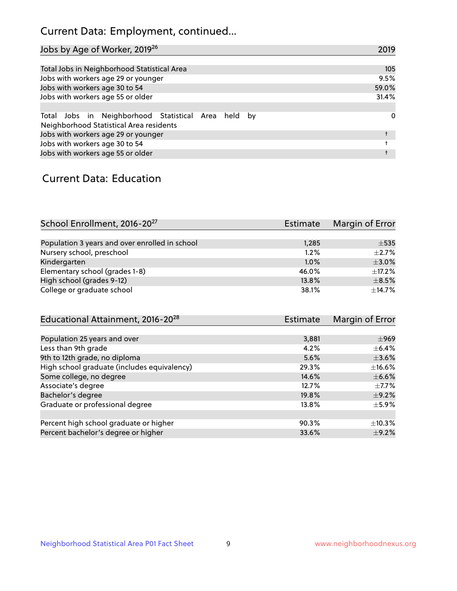## Current Data: Employment, continued...

| Jobs by Age of Worker, 2019 <sup>26</sup>                                                      | 2019  |
|------------------------------------------------------------------------------------------------|-------|
|                                                                                                |       |
| Total Jobs in Neighborhood Statistical Area                                                    | 105   |
| Jobs with workers age 29 or younger                                                            | 9.5%  |
| Jobs with workers age 30 to 54                                                                 | 59.0% |
| Jobs with workers age 55 or older                                                              | 31.4% |
|                                                                                                |       |
| Total Jobs in Neighborhood Statistical Area held by<br>Neighborhood Statistical Area residents | 0     |
| Jobs with workers age 29 or younger                                                            |       |
| Jobs with workers age 30 to 54                                                                 |       |
| Jobs with workers age 55 or older                                                              |       |

### Current Data: Education

| School Enrollment, 2016-20 <sup>27</sup>       | <b>Estimate</b> | Margin of Error |
|------------------------------------------------|-----------------|-----------------|
|                                                |                 |                 |
| Population 3 years and over enrolled in school | 1,285           | $\pm$ 535       |
| Nursery school, preschool                      | 1.2%            | $+2.7%$         |
| Kindergarten                                   | 1.0%            | $\pm$ 3.0%      |
| Elementary school (grades 1-8)                 | 46.0%           | ±17.2%          |
| High school (grades 9-12)                      | 13.8%           | $\pm$ 8.5%      |
| College or graduate school                     | 38.1%           | $\pm$ 14.7%     |

| Educational Attainment, 2016-20 <sup>28</sup> | <b>Estimate</b> | Margin of Error |
|-----------------------------------------------|-----------------|-----------------|
|                                               |                 |                 |
| Population 25 years and over                  | 3,881           | $\pm$ 969       |
| Less than 9th grade                           | 4.2%            | $\pm$ 6.4%      |
| 9th to 12th grade, no diploma                 | 5.6%            | $\pm 3.6\%$     |
| High school graduate (includes equivalency)   | 29.3%           | $\pm$ 16.6%     |
| Some college, no degree                       | 14.6%           | $\pm$ 6.6%      |
| Associate's degree                            | 12.7%           | $\pm$ 7.7%      |
| Bachelor's degree                             | 19.8%           | $\pm$ 9.2%      |
| Graduate or professional degree               | 13.8%           | $\pm$ 5.9%      |
|                                               |                 |                 |
| Percent high school graduate or higher        | 90.3%           | $\pm$ 10.3%     |
| Percent bachelor's degree or higher           | 33.6%           | $\pm$ 9.2%      |
|                                               |                 |                 |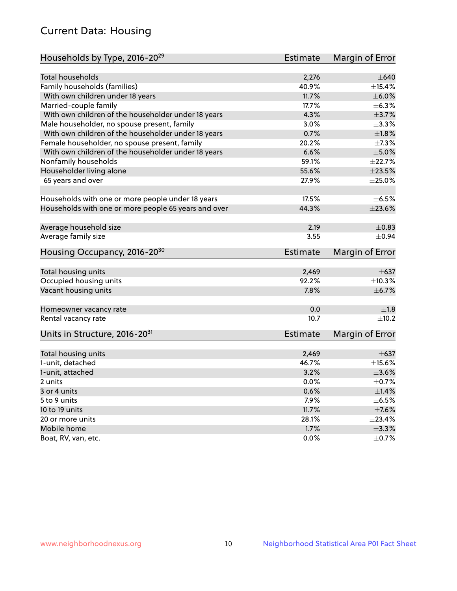## Current Data: Housing

| Households by Type, 2016-20 <sup>29</sup>            | <b>Estimate</b> | Margin of Error |
|------------------------------------------------------|-----------------|-----------------|
|                                                      |                 |                 |
| <b>Total households</b>                              | 2,276           | $\pm 640$       |
| Family households (families)                         | 40.9%           | $\pm$ 15.4%     |
| With own children under 18 years                     | 11.7%           | $\pm$ 6.0%      |
| Married-couple family                                | 17.7%           | ±6.3%           |
| With own children of the householder under 18 years  | 4.3%            | $\pm$ 3.7%      |
| Male householder, no spouse present, family          | 3.0%            | ±3.3%           |
| With own children of the householder under 18 years  | 0.7%            | ±1.8%           |
| Female householder, no spouse present, family        | 20.2%           | $\pm$ 7.3%      |
| With own children of the householder under 18 years  | 6.6%            | $\pm$ 5.0%      |
| Nonfamily households                                 | 59.1%           | ±22.7%          |
| Householder living alone                             | 55.6%           | $\pm 23.5\%$    |
| 65 years and over                                    | 27.9%           | $\pm 25.0\%$    |
|                                                      |                 |                 |
| Households with one or more people under 18 years    | 17.5%           | $\pm$ 6.5%      |
| Households with one or more people 65 years and over | 44.3%           | $\pm 23.6\%$    |
|                                                      |                 |                 |
| Average household size                               | 2.19            | $\pm$ 0.83      |
| Average family size                                  | 3.55            | $\pm 0.94$      |
|                                                      |                 |                 |
| Housing Occupancy, 2016-20 <sup>30</sup>             | <b>Estimate</b> | Margin of Error |
| Total housing units                                  | 2,469           | $\pm$ 637       |
| Occupied housing units                               | 92.2%           | ±10.3%          |
| Vacant housing units                                 | 7.8%            | $\pm$ 6.7%      |
|                                                      |                 |                 |
| Homeowner vacancy rate                               | 0.0             | ±1.8            |
| Rental vacancy rate                                  | 10.7            | $\pm$ 10.2      |
|                                                      |                 |                 |
| Units in Structure, 2016-20 <sup>31</sup>            | <b>Estimate</b> | Margin of Error |
|                                                      |                 |                 |
| Total housing units                                  | 2,469           | $\pm 637$       |
| 1-unit, detached                                     | 46.7%           | $\pm$ 15.6%     |
| 1-unit, attached                                     | 3.2%            | $\pm 3.6\%$     |
| 2 units                                              | 0.0%            | $\pm$ 0.7%      |
| 3 or 4 units                                         | 0.6%            | $\pm$ 1.4%      |
| 5 to 9 units                                         | 7.9%            | $\pm$ 6.5%      |
| 10 to 19 units                                       | 11.7%           | $\pm$ 7.6%      |
| 20 or more units                                     | 28.1%           | ±23.4%          |
| Mobile home                                          | 1.7%            | $\pm$ 3.3%      |
| Boat, RV, van, etc.                                  | 0.0%            | $\pm$ 0.7%      |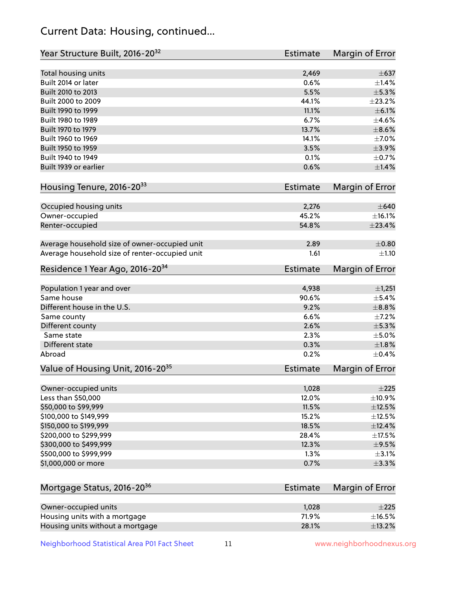## Current Data: Housing, continued...

| Year Structure Built, 2016-20 <sup>32</sup>    | <b>Estimate</b> | Margin of Error |
|------------------------------------------------|-----------------|-----------------|
| Total housing units                            | 2,469           | $\pm$ 637       |
| Built 2014 or later                            | 0.6%            | $\pm$ 1.4%      |
| Built 2010 to 2013                             | 5.5%            | $\pm$ 5.3%      |
| Built 2000 to 2009                             | 44.1%           | ±23.2%          |
| Built 1990 to 1999                             | 11.1%           | $\pm$ 6.1%      |
| Built 1980 to 1989                             | 6.7%            | $\pm$ 4.6%      |
| Built 1970 to 1979                             | 13.7%           | $\pm$ 8.6%      |
| Built 1960 to 1969                             | 14.1%           | $\pm$ 7.0%      |
| Built 1950 to 1959                             | 3.5%            | $\pm$ 3.9%      |
| Built 1940 to 1949                             | 0.1%            | $\pm$ 0.7%      |
| Built 1939 or earlier                          | 0.6%            | $\pm 1.4\%$     |
|                                                |                 |                 |
| Housing Tenure, 2016-2033                      | <b>Estimate</b> | Margin of Error |
| Occupied housing units                         | 2,276           | $\pm 640$       |
| Owner-occupied                                 | 45.2%           | ±16.1%          |
| Renter-occupied                                | 54.8%           | ±23.4%          |
|                                                |                 |                 |
| Average household size of owner-occupied unit  | 2.89            | $\pm 0.80$      |
| Average household size of renter-occupied unit | 1.61            | $\pm 1.10$      |
| Residence 1 Year Ago, 2016-20 <sup>34</sup>    | <b>Estimate</b> | Margin of Error |
|                                                |                 |                 |
| Population 1 year and over                     | 4,938           | ±1,251          |
| Same house                                     | 90.6%           | $\pm$ 5.4%      |
| Different house in the U.S.                    | 9.2%            | $\pm$ 8.8%      |
| Same county                                    | 6.6%            | $\pm$ 7.2%      |
| Different county                               | 2.6%            | $\pm$ 5.3%      |
| Same state                                     | 2.3%            | $\pm$ 5.0%      |
| <b>Different state</b>                         | 0.3%            | $\pm1.8\%$      |
| Abroad                                         | 0.2%            | $\pm$ 0.4%      |
| Value of Housing Unit, 2016-20 <sup>35</sup>   | <b>Estimate</b> | Margin of Error |
| Owner-occupied units                           | 1,028           | $\pm 225$       |
| Less than \$50,000                             | 12.0%           | ±10.9%          |
| \$50,000 to \$99,999                           | 11.5%           | $\pm$ 12.5%     |
| \$100,000 to \$149,999                         | 15.2%           | $\pm$ 12.5%     |
| \$150,000 to \$199,999                         | 18.5%           | ±12.4%          |
| \$200,000 to \$299,999                         | 28.4%           | $\pm$ 17.5%     |
| \$300,000 to \$499,999                         | 12.3%           | $\pm$ 9.5%      |
| \$500,000 to \$999,999                         | 1.3%            | $\pm$ 3.1%      |
| \$1,000,000 or more                            | 0.7%            | ±3.3%           |
|                                                |                 |                 |
| Mortgage Status, 2016-20 <sup>36</sup>         | <b>Estimate</b> | Margin of Error |
|                                                |                 |                 |
| Owner-occupied units                           | 1,028           | $\pm 225$       |
| Housing units with a mortgage                  | 71.9%           | $\pm$ 16.5%     |
| Housing units without a mortgage               | 28.1%           | ±13.2%          |

Housing units without a mortgage 28.1%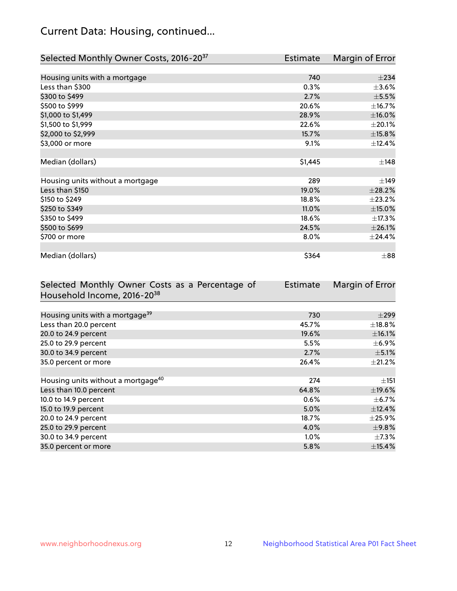## Current Data: Housing, continued...

| Selected Monthly Owner Costs, 2016-20 <sup>37</sup> | <b>Estimate</b> | Margin of Error |
|-----------------------------------------------------|-----------------|-----------------|
|                                                     |                 |                 |
| Housing units with a mortgage                       | 740             | $\pm 234$       |
| Less than \$300                                     | 0.3%            | $\pm 3.6\%$     |
| \$300 to \$499                                      | 2.7%            | $\pm$ 5.5%      |
| \$500 to \$999                                      | 20.6%           | ±16.7%          |
| \$1,000 to \$1,499                                  | 28.9%           | $\pm$ 16.0%     |
| \$1,500 to \$1,999                                  | 22.6%           | $\pm 20.1\%$    |
| \$2,000 to \$2,999                                  | 15.7%           | ±15.8%          |
| \$3,000 or more                                     | 9.1%            | ±12.4%          |
|                                                     |                 |                 |
| Median (dollars)                                    | \$1,445         | ±148            |
|                                                     |                 |                 |
| Housing units without a mortgage                    | 289             | ±149            |
| Less than \$150                                     | 19.0%           | ±28.2%          |
| \$150 to \$249                                      | 18.8%           | ±23.2%          |
| \$250 to \$349                                      | 11.0%           | $\pm$ 15.0%     |
| \$350 to \$499                                      | 18.6%           | ±17.3%          |
| \$500 to \$699                                      | 24.5%           | $\pm 26.1\%$    |
| \$700 or more                                       | $8.0\%$         | $±$ 24.4%       |
|                                                     |                 |                 |
| Median (dollars)                                    | \$364           | $\pm$ 88        |

| Selected Monthly Owner Costs as a Percentage of | <b>Estimate</b> | Margin of Error |
|-------------------------------------------------|-----------------|-----------------|
| Household Income, 2016-20 <sup>38</sup>         |                 |                 |
|                                                 |                 |                 |
| Housing units with a mortgage <sup>39</sup>     | 730             | $\pm$ 299       |
| Less than 20.0 percent                          | 45.7%           | $\pm$ 18.8%     |
| 20.0 to 24.9 percent                            | 19.6%           | $\pm$ 16.1%     |
| 25.0 to 29.9 percent                            | 5.5%            | $\pm$ 6.9%      |
| 30.0 to 34.9 percent                            | 2.7%            | $\pm$ 5.1%      |
| 35.0 percent or more                            | 26.4%           | $\pm 21.2\%$    |
|                                                 |                 |                 |
| Housing units without a mortgage <sup>40</sup>  | 274             | $\pm$ 151       |
| Less than 10.0 percent                          | 64.8%           | $\pm$ 19.6%     |
| 10.0 to 14.9 percent                            | 0.6%            | $\pm$ 6.7%      |
| 15.0 to 19.9 percent                            | 5.0%            | ±12.4%          |
| 20.0 to 24.9 percent                            | 18.7%           | $\pm$ 25.9%     |
| 25.0 to 29.9 percent                            | 4.0%            | $\pm$ 9.8%      |
| 30.0 to 34.9 percent                            | $1.0\%$         | $\pm$ 7.3%      |
| 35.0 percent or more                            | 5.8%            | ±15.4%          |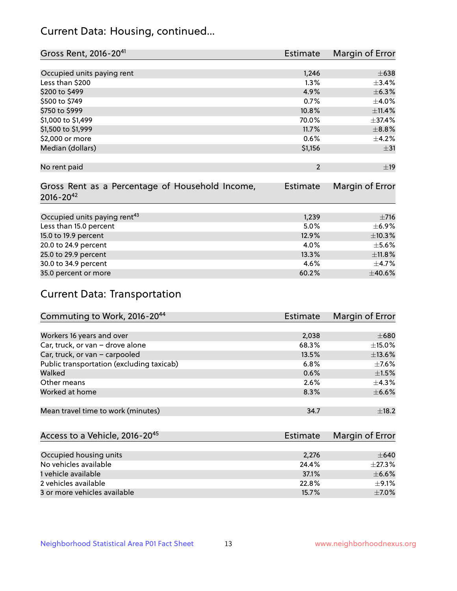## Current Data: Housing, continued...

| Gross Rent, 2016-20 <sup>41</sup>               | <b>Estimate</b> | Margin of Error |
|-------------------------------------------------|-----------------|-----------------|
|                                                 |                 |                 |
| Occupied units paying rent                      | 1,246           | $\pm 638$       |
| Less than \$200                                 | 1.3%            | ±3.4%           |
| \$200 to \$499                                  | 4.9%            | $\pm$ 6.3%      |
| \$500 to \$749                                  | 0.7%            | $\pm$ 4.0%      |
| \$750 to \$999                                  | 10.8%           | ±11.4%          |
| \$1,000 to \$1,499                              | 70.0%           | ±37.4%          |
| \$1,500 to \$1,999                              | 11.7%           | $\pm$ 8.8%      |
| \$2,000 or more                                 | 0.6%            | $\pm$ 4.2%      |
| Median (dollars)                                | \$1,156         | $\pm$ 31        |
|                                                 |                 |                 |
| No rent paid                                    | $\overline{2}$  | ±19             |
|                                                 |                 |                 |
| Gross Rent as a Percentage of Household Income, | <b>Estimate</b> | Margin of Error |
| $2016 - 20^{42}$                                |                 |                 |
|                                                 |                 |                 |
| Occupied units paying rent <sup>43</sup>        | 1,239           | $\pm$ 716       |
| Less than 15.0 percent                          | 5.0%            | $\pm$ 6.9%      |
| 15.0 to 19.9 percent                            | 12.9%           | ±10.3%          |
| 20.0 to 24.9 percent                            | 4.0%            | $\pm$ 5.6%      |
| 25.0 to 29.9 percent                            | 13.3%           | ±11.8%          |
| 30.0 to 34.9 percent                            | 4.6%            | $\pm$ 4.7%      |
| 35.0 percent or more                            | 60.2%           | $\pm$ 40.6%     |

# Current Data: Transportation

| Commuting to Work, 2016-20 <sup>44</sup>  | <b>Estimate</b> | Margin of Error |
|-------------------------------------------|-----------------|-----------------|
|                                           |                 |                 |
| Workers 16 years and over                 | 2,038           | $\pm 680$       |
| Car, truck, or van - drove alone          | 68.3%           | $\pm$ 15.0%     |
| Car, truck, or van - carpooled            | 13.5%           | ±13.6%          |
| Public transportation (excluding taxicab) | 6.8%            | $\pm$ 7.6%      |
| Walked                                    | 0.6%            | $\pm 1.5\%$     |
| Other means                               | 2.6%            | $\pm$ 4.3%      |
| Worked at home                            | 8.3%            | $\pm$ 6.6%      |
|                                           |                 |                 |
| Mean travel time to work (minutes)        | 34.7            | $\pm$ 18.2      |

| Access to a Vehicle, 2016-20 <sup>45</sup> | Estimate | Margin of Error |
|--------------------------------------------|----------|-----------------|
|                                            |          |                 |
| Occupied housing units                     | 2,276    | $\pm 640$       |
| No vehicles available                      | 24.4%    | $\pm$ 27.3%     |
| 1 vehicle available                        | 37.1%    | $\pm$ 6.6%      |
| 2 vehicles available                       | 22.8%    | $\pm$ 9.1%      |
| 3 or more vehicles available               | 15.7%    | $+7.0%$         |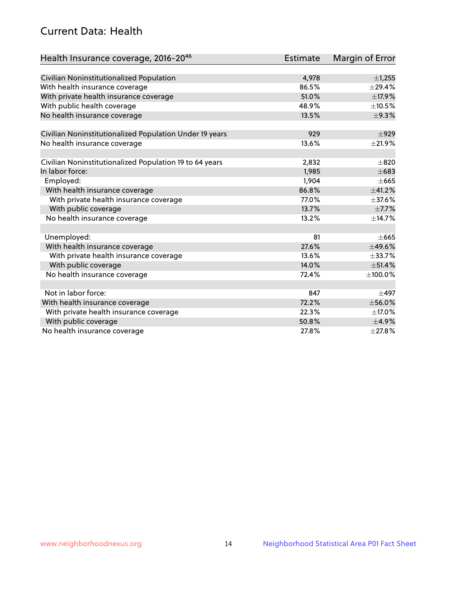## Current Data: Health

| Health Insurance coverage, 2016-2046                    | <b>Estimate</b> | <b>Margin of Error</b> |
|---------------------------------------------------------|-----------------|------------------------|
|                                                         |                 |                        |
| Civilian Noninstitutionalized Population                | 4,978           | $\pm$ 1,255            |
| With health insurance coverage                          | 86.5%           | ±29.4%                 |
| With private health insurance coverage                  | 51.0%           | ±17.9%                 |
| With public health coverage                             | 48.9%           | $\pm$ 10.5%            |
| No health insurance coverage                            | 13.5%           | ±9.3%                  |
| Civilian Noninstitutionalized Population Under 19 years | 929             | $+929$                 |
| No health insurance coverage                            | 13.6%           | $\pm 21.9\%$           |
|                                                         |                 |                        |
| Civilian Noninstitutionalized Population 19 to 64 years | 2,832           | $\pm 820$              |
| In labor force:                                         | 1,985           | $\pm 683$              |
| Employed:                                               | 1,904           | $+665$                 |
| With health insurance coverage                          | 86.8%           | ±41.2%                 |
| With private health insurance coverage                  | 77.0%           | ±37.6%                 |
| With public coverage                                    | 13.7%           | $\pm$ 7.7%             |
| No health insurance coverage                            | 13.2%           | ±14.7%                 |
|                                                         |                 |                        |
| Unemployed:                                             | 81              | $\pm 665$              |
| With health insurance coverage                          | 27.6%           | ±49.6%                 |
| With private health insurance coverage                  | 13.6%           | $\pm$ 33.7%            |
| With public coverage                                    | 14.0%           | ±51.4%                 |
| No health insurance coverage                            | 72.4%           | ±100.0%                |
| Not in labor force:                                     | 847             | $\pm$ 497              |
| With health insurance coverage                          | 72.2%           | $\pm$ 56.0%            |
| With private health insurance coverage                  | 22.3%           | ±17.0%                 |
| With public coverage                                    | 50.8%           | $\pm$ 4.9%             |
| No health insurance coverage                            | 27.8%           | ±27.8%                 |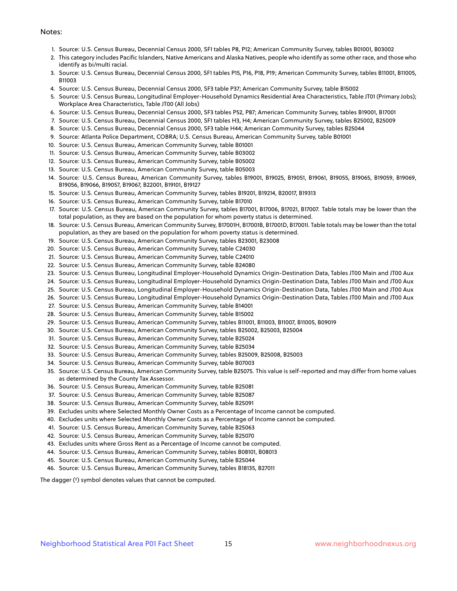#### Notes:

- 1. Source: U.S. Census Bureau, Decennial Census 2000, SF1 tables P8, P12; American Community Survey, tables B01001, B03002
- 2. This category includes Pacific Islanders, Native Americans and Alaska Natives, people who identify as some other race, and those who identify as bi/multi racial.
- 3. Source: U.S. Census Bureau, Decennial Census 2000, SF1 tables P15, P16, P18, P19; American Community Survey, tables B11001, B11005, B11003
- 4. Source: U.S. Census Bureau, Decennial Census 2000, SF3 table P37; American Community Survey, table B15002
- 5. Source: U.S. Census Bureau, Longitudinal Employer-Household Dynamics Residential Area Characteristics, Table JT01 (Primary Jobs); Workplace Area Characteristics, Table JT00 (All Jobs)
- 6. Source: U.S. Census Bureau, Decennial Census 2000, SF3 tables P52, P87; American Community Survey, tables B19001, B17001
- 7. Source: U.S. Census Bureau, Decennial Census 2000, SF1 tables H3, H4; American Community Survey, tables B25002, B25009
- 8. Source: U.S. Census Bureau, Decennial Census 2000, SF3 table H44; American Community Survey, tables B25044
- 9. Source: Atlanta Police Department, COBRA; U.S. Census Bureau, American Community Survey, table B01001
- 10. Source: U.S. Census Bureau, American Community Survey, table B01001
- 11. Source: U.S. Census Bureau, American Community Survey, table B03002
- 12. Source: U.S. Census Bureau, American Community Survey, table B05002
- 13. Source: U.S. Census Bureau, American Community Survey, table B05003
- 14. Source: U.S. Census Bureau, American Community Survey, tables B19001, B19025, B19051, B19061, B19055, B19065, B19059, B19069, B19056, B19066, B19057, B19067, B22001, B19101, B19127
- 15. Source: U.S. Census Bureau, American Community Survey, tables B19201, B19214, B20017, B19313
- 16. Source: U.S. Census Bureau, American Community Survey, table B17010
- 17. Source: U.S. Census Bureau, American Community Survey, tables B17001, B17006, B17021, B17007. Table totals may be lower than the total population, as they are based on the population for whom poverty status is determined.
- 18. Source: U.S. Census Bureau, American Community Survey, B17001H, B17001B, B17001D, B17001I. Table totals may be lower than the total population, as they are based on the population for whom poverty status is determined.
- 19. Source: U.S. Census Bureau, American Community Survey, tables B23001, B23008
- 20. Source: U.S. Census Bureau, American Community Survey, table C24030
- 21. Source: U.S. Census Bureau, American Community Survey, table C24010
- 22. Source: U.S. Census Bureau, American Community Survey, table B24080
- 23. Source: U.S. Census Bureau, Longitudinal Employer-Household Dynamics Origin-Destination Data, Tables JT00 Main and JT00 Aux
- 24. Source: U.S. Census Bureau, Longitudinal Employer-Household Dynamics Origin-Destination Data, Tables JT00 Main and JT00 Aux
- 25. Source: U.S. Census Bureau, Longitudinal Employer-Household Dynamics Origin-Destination Data, Tables JT00 Main and JT00 Aux
- 26. Source: U.S. Census Bureau, Longitudinal Employer-Household Dynamics Origin-Destination Data, Tables JT00 Main and JT00 Aux
- 27. Source: U.S. Census Bureau, American Community Survey, table B14001
- 28. Source: U.S. Census Bureau, American Community Survey, table B15002
- 29. Source: U.S. Census Bureau, American Community Survey, tables B11001, B11003, B11007, B11005, B09019
- 30. Source: U.S. Census Bureau, American Community Survey, tables B25002, B25003, B25004
- 31. Source: U.S. Census Bureau, American Community Survey, table B25024
- 32. Source: U.S. Census Bureau, American Community Survey, table B25034
- 33. Source: U.S. Census Bureau, American Community Survey, tables B25009, B25008, B25003
- 34. Source: U.S. Census Bureau, American Community Survey, table B07003
- 35. Source: U.S. Census Bureau, American Community Survey, table B25075. This value is self-reported and may differ from home values as determined by the County Tax Assessor.
- 36. Source: U.S. Census Bureau, American Community Survey, table B25081
- 37. Source: U.S. Census Bureau, American Community Survey, table B25087
- 38. Source: U.S. Census Bureau, American Community Survey, table B25091
- 39. Excludes units where Selected Monthly Owner Costs as a Percentage of Income cannot be computed.
- 40. Excludes units where Selected Monthly Owner Costs as a Percentage of Income cannot be computed.
- 41. Source: U.S. Census Bureau, American Community Survey, table B25063
- 42. Source: U.S. Census Bureau, American Community Survey, table B25070
- 43. Excludes units where Gross Rent as a Percentage of Income cannot be computed.
- 44. Source: U.S. Census Bureau, American Community Survey, tables B08101, B08013
- 45. Source: U.S. Census Bureau, American Community Survey, table B25044
- 46. Source: U.S. Census Bureau, American Community Survey, tables B18135, B27011

The dagger (†) symbol denotes values that cannot be computed.